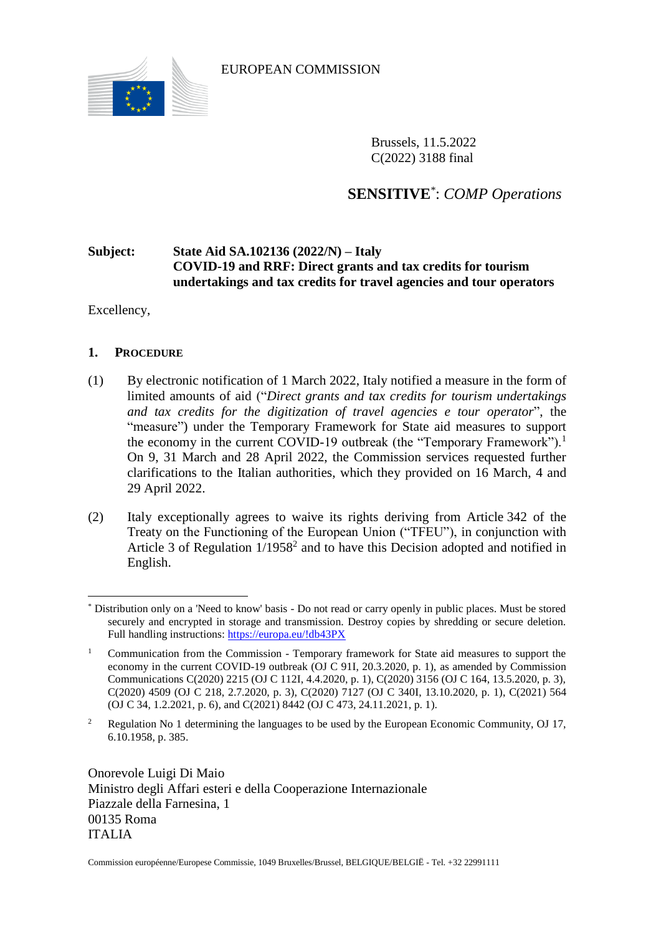

EUROPEAN COMMISSION

Brussels, 11.5.2022 C(2022) 3188 final

**SENSITIVE**\* : *COMP Operations*

# **Subject: State Aid SA.102136 (2022/N) – Italy COVID-19 and RRF: Direct grants and tax credits for tourism undertakings and tax credits for travel agencies and tour operators**

Excellency,

# **1. PROCEDURE**

- (1) By electronic notification of 1 March 2022, Italy notified a measure in the form of limited amounts of aid ("*Direct grants and tax credits for tourism undertakings and tax credits for the digitization of travel agencies e tour operator*", the "measure") under the Temporary Framework for State aid measures to support the economy in the current COVID-19 outbreak (the "Temporary Framework").<sup>1</sup> On 9, 31 March and 28 April 2022, the Commission services requested further clarifications to the Italian authorities, which they provided on 16 March, 4 and 29 April 2022.
- (2) Italy exceptionally agrees to waive its rights deriving from Article 342 of the Treaty on the Functioning of the European Union ("TFEU"), in conjunction with Article 3 of Regulation  $1/1958<sup>2</sup>$  and to have this Decision adopted and notified in English.

Onorevole Luigi Di Maio Ministro degli Affari esteri e della Cooperazione Internazionale Piazzale della Farnesina, 1 00135 Roma ITALIA

Commission européenne/Europese Commissie, 1049 Bruxelles/Brussel, BELGIQUE/BELGIË - Tel. +32 22991111

 $\overline{a}$ \* Distribution only on a 'Need to know' basis - Do not read or carry openly in public places. Must be stored securely and encrypted in storage and transmission. Destroy copies by shredding or secure deletion. Full handling instructions:<https://europa.eu/!db43PX>

<sup>1</sup> Communication from the Commission - Temporary framework for State aid measures to support the economy in the current COVID-19 outbreak (OJ C 91I, 20.3.2020, p. 1), as amended by Commission Communications C(2020) 2215 (OJ C 112I, 4.4.2020, p. 1), C(2020) 3156 (OJ C 164, 13.5.2020, p. 3), C(2020) 4509 (OJ C 218, 2.7.2020, p. 3), C(2020) 7127 (OJ C 340I, 13.10.2020, p. 1), C(2021) 564 (OJ C 34, 1.2.2021, p. 6), and C(2021) 8442 (OJ C 473, 24.11.2021, p. 1).

<sup>&</sup>lt;sup>2</sup> Regulation No 1 determining the languages to be used by the European Economic Community, OJ 17, 6.10.1958, p. 385.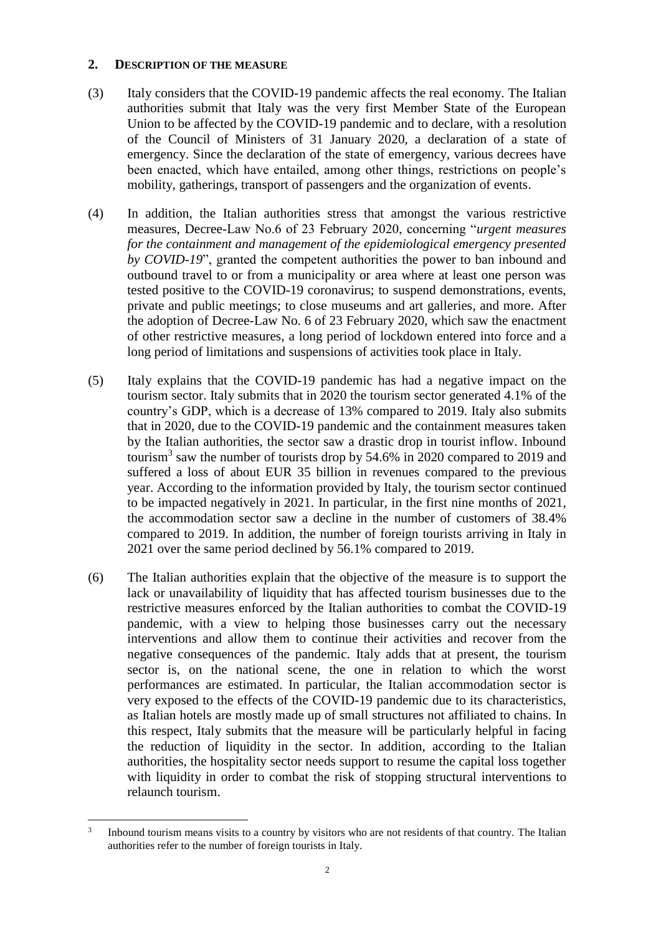#### **2. DESCRIPTION OF THE MEASURE**

- (3) Italy considers that the COVID-19 pandemic affects the real economy. The Italian authorities submit that Italy was the very first Member State of the European Union to be affected by the COVID-19 pandemic and to declare, with a resolution of the Council of Ministers of 31 January 2020, a declaration of a state of emergency. Since the declaration of the state of emergency, various decrees have been enacted, which have entailed, among other things, restrictions on people's mobility, gatherings, transport of passengers and the organization of events.
- (4) In addition, the Italian authorities stress that amongst the various restrictive measures, Decree-Law No.6 of 23 February 2020, concerning "*urgent measures for the containment and management of the epidemiological emergency presented by COVID-19*", granted the competent authorities the power to ban inbound and outbound travel to or from a municipality or area where at least one person was tested positive to the COVID-19 coronavirus; to suspend demonstrations, events, private and public meetings; to close museums and art galleries, and more. After the adoption of Decree-Law No. 6 of 23 February 2020, which saw the enactment of other restrictive measures, a long period of lockdown entered into force and a long period of limitations and suspensions of activities took place in Italy.
- (5) Italy explains that the COVID-19 pandemic has had a negative impact on the tourism sector. Italy submits that in 2020 the tourism sector generated 4.1% of the country's GDP, which is a decrease of 13% compared to 2019. Italy also submits that in 2020, due to the COVID-19 pandemic and the containment measures taken by the Italian authorities, the sector saw a drastic drop in tourist inflow. Inbound tourism<sup>3</sup> saw the number of tourists drop by 54.6% in 2020 compared to 2019 and suffered a loss of about EUR 35 billion in revenues compared to the previous year. According to the information provided by Italy, the tourism sector continued to be impacted negatively in 2021. In particular, in the first nine months of 2021, the accommodation sector saw a decline in the number of customers of 38.4% compared to 2019. In addition, the number of foreign tourists arriving in Italy in 2021 over the same period declined by 56.1% compared to 2019.
- (6) The Italian authorities explain that the objective of the measure is to support the lack or unavailability of liquidity that has affected tourism businesses due to the restrictive measures enforced by the Italian authorities to combat the COVID-19 pandemic, with a view to helping those businesses carry out the necessary interventions and allow them to continue their activities and recover from the negative consequences of the pandemic. Italy adds that at present, the tourism sector is, on the national scene, the one in relation to which the worst performances are estimated. In particular, the Italian accommodation sector is very exposed to the effects of the COVID-19 pandemic due to its characteristics, as Italian hotels are mostly made up of small structures not affiliated to chains. In this respect, Italy submits that the measure will be particularly helpful in facing the reduction of liquidity in the sector. In addition, according to the Italian authorities, the hospitality sector needs support to resume the capital loss together with liquidity in order to combat the risk of stopping structural interventions to relaunch tourism.

 $\overline{a}$ 3 Inbound tourism means visits to a country by visitors who are not residents of that country. The Italian authorities refer to the number of foreign tourists in Italy.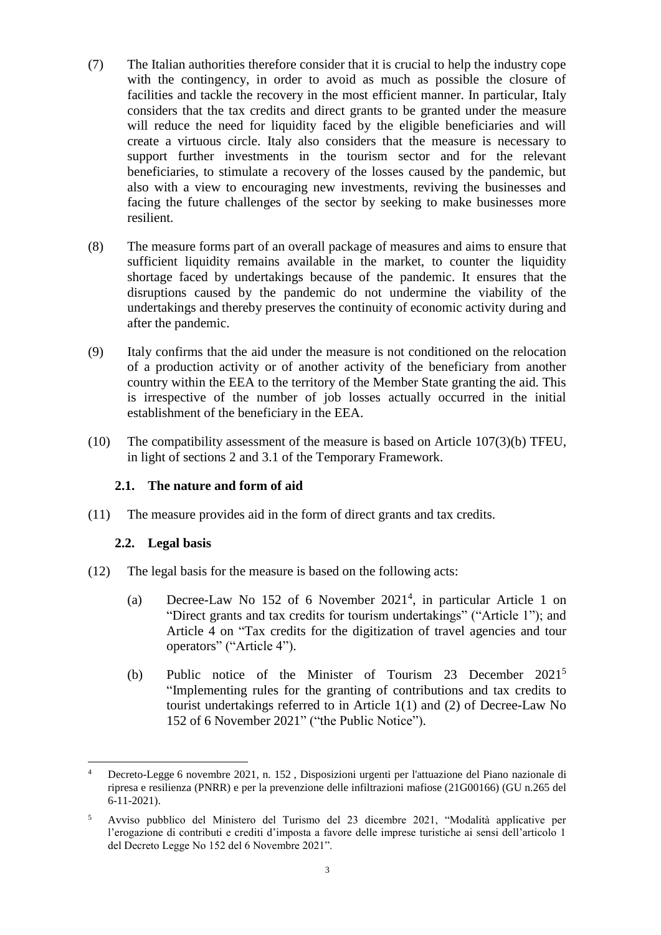- (7) The Italian authorities therefore consider that it is crucial to help the industry cope with the contingency, in order to avoid as much as possible the closure of facilities and tackle the recovery in the most efficient manner. In particular, Italy considers that the tax credits and direct grants to be granted under the measure will reduce the need for liquidity faced by the eligible beneficiaries and will create a virtuous circle. Italy also considers that the measure is necessary to support further investments in the tourism sector and for the relevant beneficiaries, to stimulate a recovery of the losses caused by the pandemic, but also with a view to encouraging new investments, reviving the businesses and facing the future challenges of the sector by seeking to make businesses more resilient.
- (8) The measure forms part of an overall package of measures and aims to ensure that sufficient liquidity remains available in the market, to counter the liquidity shortage faced by undertakings because of the pandemic. It ensures that the disruptions caused by the pandemic do not undermine the viability of the undertakings and thereby preserves the continuity of economic activity during and after the pandemic.
- <span id="page-2-2"></span>(9) Italy confirms that the aid under the measure is not conditioned on the relocation of a production activity or of another activity of the beneficiary from another country within the EEA to the territory of the Member State granting the aid. This is irrespective of the number of job losses actually occurred in the initial establishment of the beneficiary in the EEA.
- (10) The compatibility assessment of the measure is based on Article 107(3)(b) TFEU, in light of sections 2 and 3.1 of the Temporary Framework.

## **2.1. The nature and form of aid**

<span id="page-2-1"></span>(11) The measure provides aid in the form of direct grants and tax credits.

#### **2.2. Legal basis**

- <span id="page-2-0"></span>(12) The legal basis for the measure is based on the following acts:
	- (a) Decree-Law No 152 of 6 November  $2021<sup>4</sup>$ , in particular Article 1 on "Direct grants and tax credits for tourism undertakings" ("Article 1"); and Article 4 on "Tax credits for the digitization of travel agencies and tour operators" ("Article 4").
	- (b) Public notice of the Minister of Tourism 23 December 2021<sup>5</sup> "Implementing rules for the granting of contributions and tax credits to tourist undertakings referred to in Article 1(1) and (2) of Decree-Law No 152 of 6 November 2021" ("the Public Notice").

 $\overline{a}$ <sup>4</sup> Decreto-Legge 6 novembre 2021, n. 152 , Disposizioni urgenti per l'attuazione del Piano nazionale di ripresa e resilienza (PNRR) e per la prevenzione delle infiltrazioni mafiose (21G00166) (GU n.265 del 6-11-2021).

<sup>5</sup> Avviso pubblico del Ministero del Turismo del 23 dicembre 2021, "Modalità applicative per l'erogazione di contributi e crediti d'imposta a favore delle imprese turistiche ai sensi dell'articolo 1 del Decreto Legge No 152 del 6 Novembre 2021".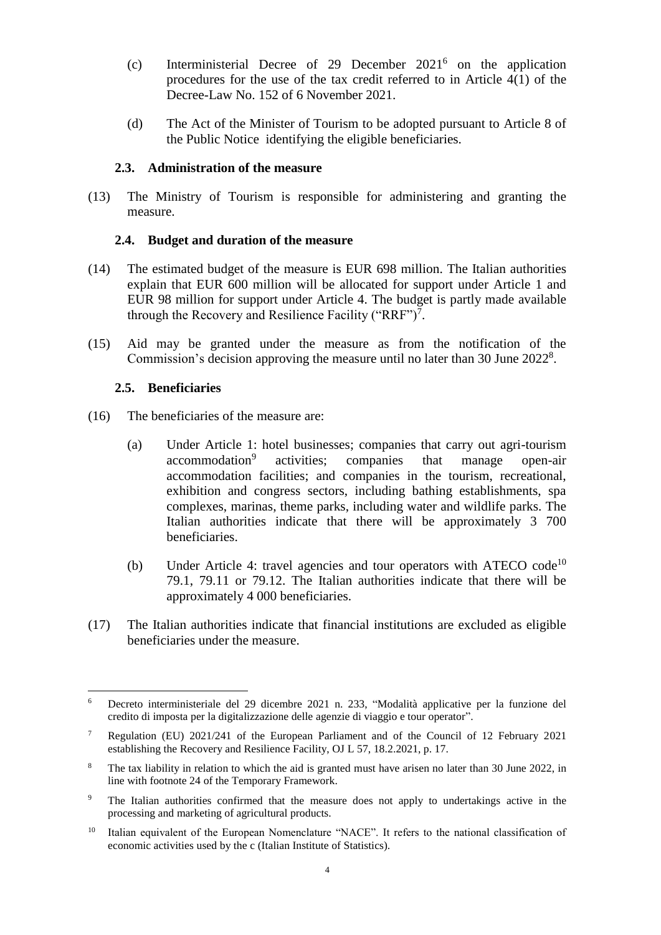- (c) Interministerial Decree of 29 December 2021<sup>6</sup> on the application procedures for the use of the tax credit referred to in Article 4(1) of the Decree-Law No. 152 of 6 November 2021.
- (d) The Act of the Minister of Tourism to be adopted pursuant to Article 8 of the Public Notice identifying the eligible beneficiaries.

#### **2.3. Administration of the measure**

<span id="page-3-3"></span>(13) The Ministry of Tourism is responsible for administering and granting the measure.

#### **2.4. Budget and duration of the measure**

- <span id="page-3-4"></span>(14) The estimated budget of the measure is EUR 698 million. The Italian authorities explain that EUR 600 million will be allocated for support under Article 1 and EUR 98 million for support under Article 4. The budget is partly made available through the Recovery and Resilience Facility ("RRF")<sup>7</sup>.
- (15) Aid may be granted under the measure as from the notification of the Commission's decision approving the measure until no later than 30 June 2022<sup>8</sup>.

## **2.5. Beneficiaries**

- <span id="page-3-1"></span><span id="page-3-0"></span>(16) The beneficiaries of the measure are:
	- (a) Under Article 1: hotel businesses; companies that carry out agri-tourism accommodation<sup>9</sup> activities; companies that manage open-air accommodation facilities; and companies in the tourism, recreational, exhibition and congress sectors, including bathing establishments, spa complexes, marinas, theme parks, including water and wildlife parks. The Italian authorities indicate that there will be approximately 3 700 beneficiaries.
	- (b) Under Article 4: travel agencies and tour operators with ATECO code<sup>10</sup> 79.1, 79.11 or 79.12. The Italian authorities indicate that there will be approximately 4 000 beneficiaries.
- <span id="page-3-2"></span>(17) The Italian authorities indicate that financial institutions are excluded as eligible beneficiaries under the measure.

 $\overline{a}$ <sup>6</sup> Decreto interministeriale del 29 dicembre 2021 n. 233, "Modalità applicative per la funzione del credito di imposta per la digitalizzazione delle agenzie di viaggio e tour operator".

<sup>7</sup> Regulation (EU) 2021/241 of the European Parliament and of the Council of 12 February 2021 establishing the Recovery and Resilience Facility, OJ L 57, 18.2.2021, p. 17.

<sup>&</sup>lt;sup>8</sup> The tax liability in relation to which the aid is granted must have arisen no later than 30 June 2022, in line with footnote 24 of the Temporary Framework.

<sup>9</sup> The Italian authorities confirmed that the measure does not apply to undertakings active in the processing and marketing of agricultural products.

<sup>&</sup>lt;sup>10</sup> Italian equivalent of the European Nomenclature "NACE". It refers to the national classification of economic activities used by the c (Italian Institute of Statistics).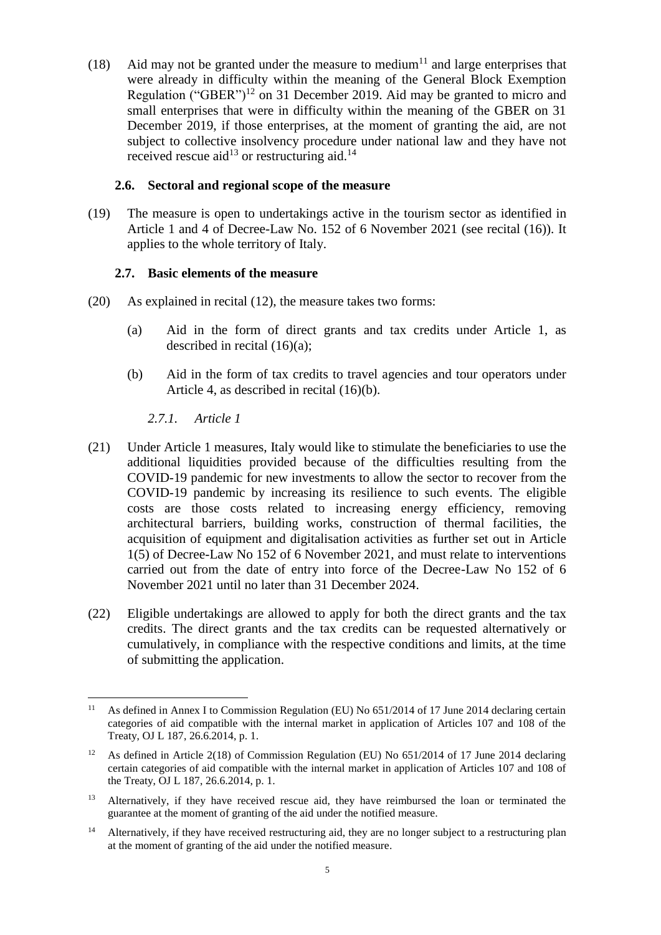<span id="page-4-1"></span>(18) Aid may not be granted under the measure to medium<sup>11</sup> and large enterprises that were already in difficulty within the meaning of the General Block Exemption Regulation ("GBER")<sup>12</sup> on 31 December 2019. Aid may be granted to micro and small enterprises that were in difficulty within the meaning of the GBER on 31 December 2019, if those enterprises, at the moment of granting the aid, are not subject to collective insolvency procedure under national law and they have not received rescue aid<sup>13</sup> or restructuring aid.<sup>14</sup>

## **2.6. Sectoral and regional scope of the measure**

(19) The measure is open to undertakings active in the tourism sector as identified in Article 1 and 4 of Decree-Law No. 152 of 6 November 2021 (see recital [\(16\)\)](#page-3-0). It applies to the whole territory of Italy.

## **2.7. Basic elements of the measure**

- (20) As explained in recital [\(12\),](#page-2-0) the measure takes two forms:
	- (a) Aid in the form of direct grants and tax credits under Article 1, as described in recital [\(16\)\(a\);](#page-3-1)
	- (b) Aid in the form of tax credits to travel agencies and tour operators under Article 4, as described in recital [\(16\)\(b\).](#page-3-2)

*2.7.1. Article 1*

 $\overline{a}$ 

- <span id="page-4-0"></span>(21) Under Article 1 measures, Italy would like to stimulate the beneficiaries to use the additional liquidities provided because of the difficulties resulting from the COVID-19 pandemic for new investments to allow the sector to recover from the COVID-19 pandemic by increasing its resilience to such events. The eligible costs are those costs related to increasing energy efficiency, removing architectural barriers, building works, construction of thermal facilities, the acquisition of equipment and digitalisation activities as further set out in Article 1(5) of Decree-Law No 152 of 6 November 2021, and must relate to interventions carried out from the date of entry into force of the Decree-Law No 152 of 6 November 2021 until no later than 31 December 2024.
- (22) Eligible undertakings are allowed to apply for both the direct grants and the tax credits. The direct grants and the tax credits can be requested alternatively or cumulatively, in compliance with the respective conditions and limits, at the time of submitting the application.

<sup>&</sup>lt;sup>11</sup> As defined in Annex I to Commission Regulation (EU) No 651/2014 of 17 June 2014 declaring certain categories of aid compatible with the internal market in application of Articles 107 and 108 of the Treaty, OJ L 187, 26.6.2014, p. 1.

<sup>&</sup>lt;sup>12</sup> As defined in Article 2(18) of Commission Regulation (EU) No 651/2014 of 17 June 2014 declaring certain categories of aid compatible with the internal market in application of Articles 107 and 108 of the Treaty, OJ L 187, 26.6.2014, p. 1.

<sup>&</sup>lt;sup>13</sup> Alternatively, if they have received rescue aid, they have reimbursed the loan or terminated the guarantee at the moment of granting of the aid under the notified measure.

<sup>&</sup>lt;sup>14</sup> Alternatively, if they have received restructuring aid, they are no longer subject to a restructuring plan at the moment of granting of the aid under the notified measure.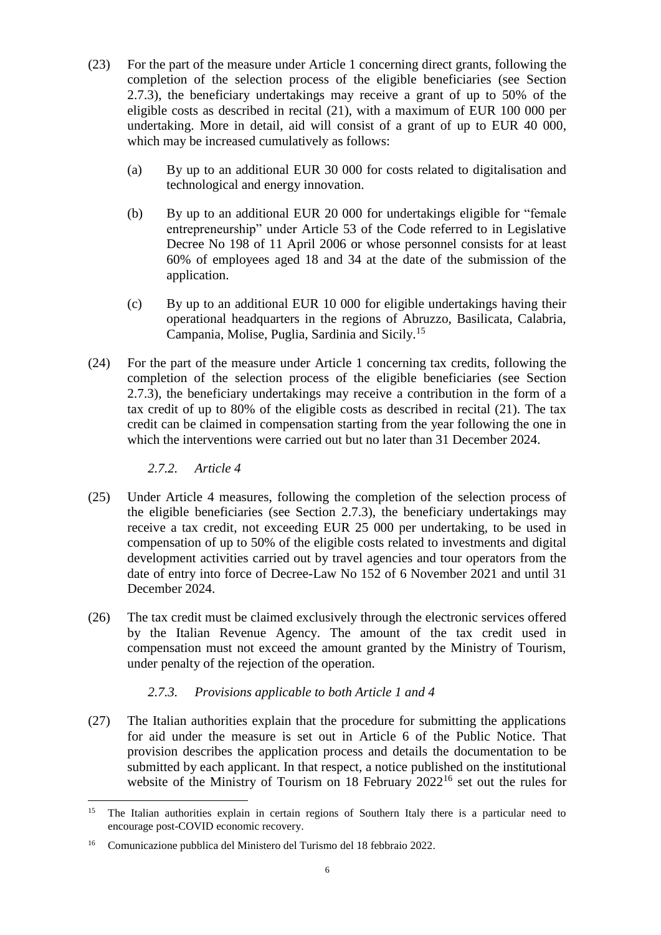- (23) For the part of the measure under Article 1 concerning direct grants, following the completion of the selection process of the eligible beneficiaries (see Section [2.7.3\)](#page-5-0), the beneficiary undertakings may receive a grant of up to 50% of the eligible costs as described in recital [\(21\),](#page-4-0) with a maximum of EUR 100 000 per undertaking. More in detail, aid will consist of a grant of up to EUR 40 000, which may be increased cumulatively as follows:
	- (a) By up to an additional EUR 30 000 for costs related to digitalisation and technological and energy innovation.
	- (b) By up to an additional EUR 20 000 for undertakings eligible for "female entrepreneurship" under Article 53 of the Code referred to in Legislative Decree No 198 of 11 April 2006 or whose personnel consists for at least 60% of employees aged 18 and 34 at the date of the submission of the application.
	- (c) By up to an additional EUR 10 000 for eligible undertakings having their operational headquarters in the regions of Abruzzo, Basilicata, Calabria, Campania, Molise, Puglia, Sardinia and Sicily.<sup>15</sup>
- (24) For the part of the measure under Article 1 concerning tax credits, following the completion of the selection process of the eligible beneficiaries (see Section [2.7.3\)](#page-5-0), the beneficiary undertakings may receive a contribution in the form of a tax credit of up to 80% of the eligible costs as described in recital [\(21\).](#page-4-0) The tax credit can be claimed in compensation starting from the year following the one in which the interventions were carried out but no later than 31 December 2024.

*2.7.2. Article 4*

 $\overline{a}$ 

- (25) Under Article 4 measures, following the completion of the selection process of the eligible beneficiaries (see Section [2.7.3\)](#page-5-0), the beneficiary undertakings may receive a tax credit, not exceeding EUR 25 000 per undertaking, to be used in compensation of up to 50% of the eligible costs related to investments and digital development activities carried out by travel agencies and tour operators from the date of entry into force of Decree-Law No 152 of 6 November 2021 and until 31 December 2024.
- (26) The tax credit must be claimed exclusively through the electronic services offered by the Italian Revenue Agency. The amount of the tax credit used in compensation must not exceed the amount granted by the Ministry of Tourism, under penalty of the rejection of the operation.

# *2.7.3. Provisions applicable to both Article 1 and 4*

<span id="page-5-1"></span><span id="page-5-0"></span>(27) The Italian authorities explain that the procedure for submitting the applications for aid under the measure is set out in Article 6 of the Public Notice. That provision describes the application process and details the documentation to be submitted by each applicant. In that respect, a notice published on the institutional website of the Ministry of Tourism on  $18$  February  $2022^{16}$  set out the rules for

<sup>&</sup>lt;sup>15</sup> The Italian authorities explain in certain regions of Southern Italy there is a particular need to encourage post-COVID economic recovery.

<sup>16</sup> Comunicazione pubblica del Ministero del Turismo del 18 febbraio 2022.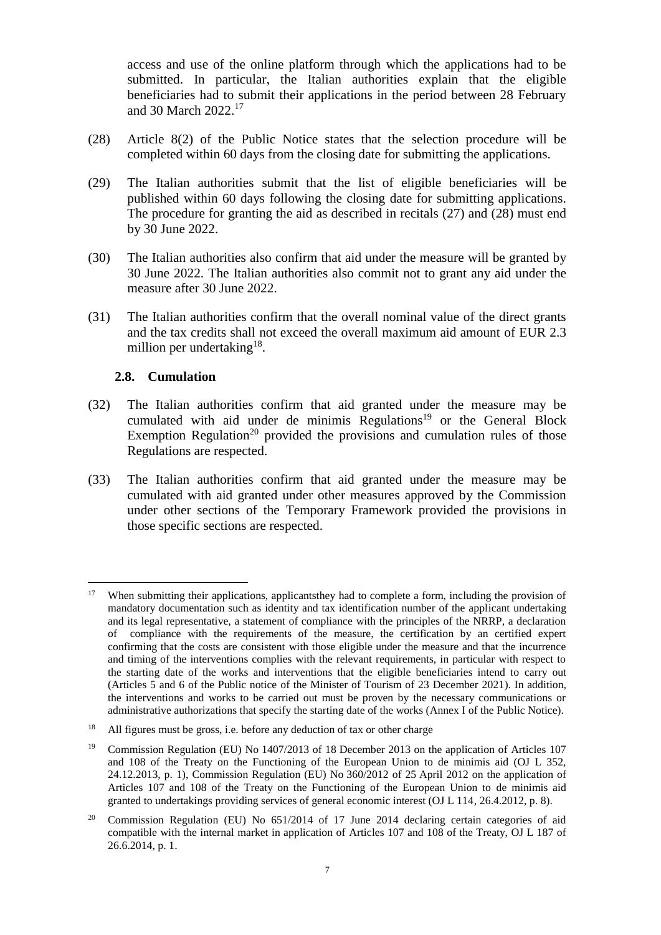access and use of the online platform through which the applications had to be submitted. In particular, the Italian authorities explain that the eligible beneficiaries had to submit their applications in the period between 28 February and 30 March 2022. 17

- <span id="page-6-0"></span>(28) Article 8(2) of the Public Notice states that the selection procedure will be completed within 60 days from the closing date for submitting the applications.
- (29) The Italian authorities submit that the list of eligible beneficiaries will be published within 60 days following the closing date for submitting applications. The procedure for granting the aid as described in recitals [\(27\)](#page-5-1) and [\(28\)](#page-6-0) must end by 30 June 2022.
- <span id="page-6-1"></span>(30) The Italian authorities also confirm that aid under the measure will be granted by 30 June 2022. The Italian authorities also commit not to grant any aid under the measure after 30 June 2022.
- (31) The Italian authorities confirm that the overall nominal value of the direct grants and the tax credits shall not exceed the overall maximum aid amount of EUR 2.3 million per undertaking<sup>18</sup>.

## **2.8. Cumulation**

- <span id="page-6-2"></span>(32) The Italian authorities confirm that aid granted under the measure may be cumulated with aid under de minimis  $Regulations<sup>19</sup>$  or the General Block Exemption Regulation<sup>20</sup> provided the provisions and cumulation rules of those Regulations are respected.
- (33) The Italian authorities confirm that aid granted under the measure may be cumulated with aid granted under other measures approved by the Commission under other sections of the Temporary Framework provided the provisions in those specific sections are respected.

 $\overline{a}$ <sup>17</sup> When submitting their applications, applicantsthey had to complete a form, including the provision of mandatory documentation such as identity and tax identification number of the applicant undertaking and its legal representative, a statement of compliance with the principles of the NRRP, a declaration of compliance with the requirements of the measure, the certification by an certified expert confirming that the costs are consistent with those eligible under the measure and that the incurrence and timing of the interventions complies with the relevant requirements, in particular with respect to the starting date of the works and interventions that the eligible beneficiaries intend to carry out (Articles 5 and 6 of the Public notice of the Minister of Tourism of 23 December 2021). In addition, the interventions and works to be carried out must be proven by the necessary communications or administrative authorizations that specify the starting date of the works (Annex I of the Public Notice).

<sup>&</sup>lt;sup>18</sup> All figures must be gross, i.e. before any deduction of tax or other charge

<sup>&</sup>lt;sup>19</sup> Commission Regulation (EU) No 1407/2013 of 18 December 2013 on the application of Articles 107 and 108 of the Treaty on the Functioning of the European Union to de minimis aid (OJ L 352, 24.12.2013, p. 1), Commission Regulation (EU) No 360/2012 of 25 April 2012 on the application of Articles 107 and 108 of the Treaty on the Functioning of the European Union to de minimis aid granted to undertakings providing services of general economic interest (OJ L 114, 26.4.2012, p. 8).

 $20$  Commission Regulation (EU) No  $651/2014$  of 17 June 2014 declaring certain categories of aid compatible with the internal market in application of Articles 107 and 108 of the Treaty, OJ L 187 of 26.6.2014, p. 1.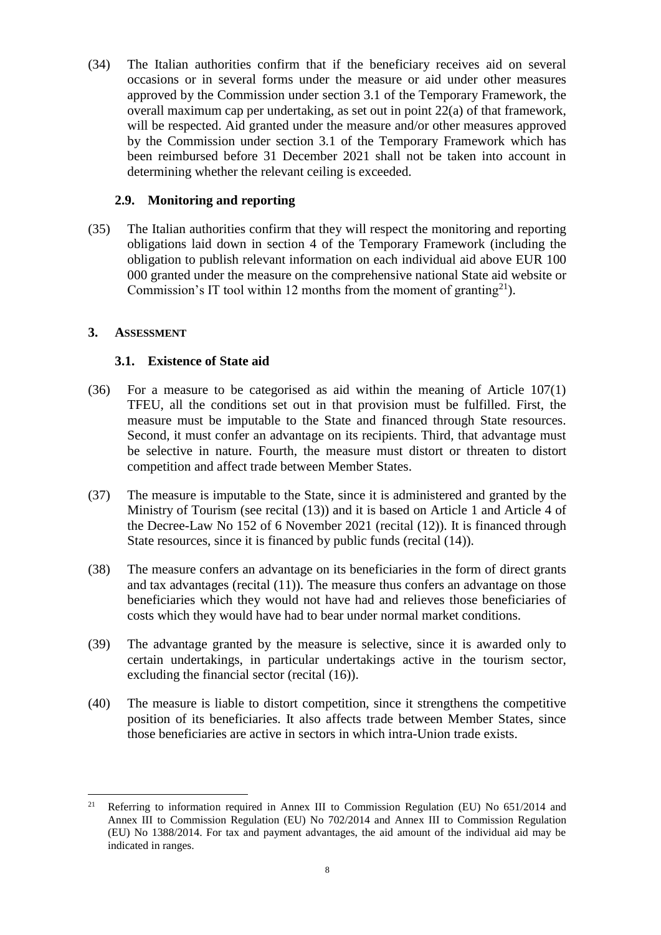(34) The Italian authorities confirm that if the beneficiary receives aid on several occasions or in several forms under the measure or aid under other measures approved by the Commission under section 3.1 of the Temporary Framework, the overall maximum cap per undertaking, as set out in point 22(a) of that framework, will be respected. Aid granted under the measure and/or other measures approved by the Commission under section 3.1 of the Temporary Framework which has been reimbursed before 31 December 2021 shall not be taken into account in determining whether the relevant ceiling is exceeded.

## **2.9. Monitoring and reporting**

<span id="page-7-0"></span>(35) The Italian authorities confirm that they will respect the monitoring and reporting obligations laid down in section 4 of the Temporary Framework (including the obligation to publish relevant information on each individual aid above EUR 100 000 granted under the measure on the comprehensive national State aid website or Commission's IT tool within 12 months from the moment of granting<sup>21</sup>).

## **3. ASSESSMENT**

## **3.1. Existence of State aid**

- (36) For a measure to be categorised as aid within the meaning of Article 107(1) TFEU, all the conditions set out in that provision must be fulfilled. First, the measure must be imputable to the State and financed through State resources. Second, it must confer an advantage on its recipients. Third, that advantage must be selective in nature. Fourth, the measure must distort or threaten to distort competition and affect trade between Member States.
- (37) The measure is imputable to the State, since it is administered and granted by the Ministry of Tourism (see recital [\(13\)\)](#page-3-3) and it is based on Article 1 and Article 4 of the Decree-Law No 152 of 6 November 2021 (recital [\(12\)\)](#page-2-0). It is financed through State resources, since it is financed by public funds (recital [\(14\)\)](#page-3-4).
- (38) The measure confers an advantage on its beneficiaries in the form of direct grants and tax advantages (recital [\(11\)\)](#page-2-1). The measure thus confers an advantage on those beneficiaries which they would not have had and relieves those beneficiaries of costs which they would have had to bear under normal market conditions.
- (39) The advantage granted by the measure is selective, since it is awarded only to certain undertakings, in particular undertakings active in the tourism sector, excluding the financial sector (recital [\(16\)\)](#page-3-0).
- (40) The measure is liable to distort competition, since it strengthens the competitive position of its beneficiaries. It also affects trade between Member States, since those beneficiaries are active in sectors in which intra-Union trade exists.

 $\overline{a}$ <sup>21</sup> Referring to information required in Annex III to Commission Regulation (EU) No 651/2014 and Annex III to Commission Regulation (EU) No 702/2014 and Annex III to Commission Regulation (EU) No 1388/2014. For tax and payment advantages, the aid amount of the individual aid may be indicated in ranges.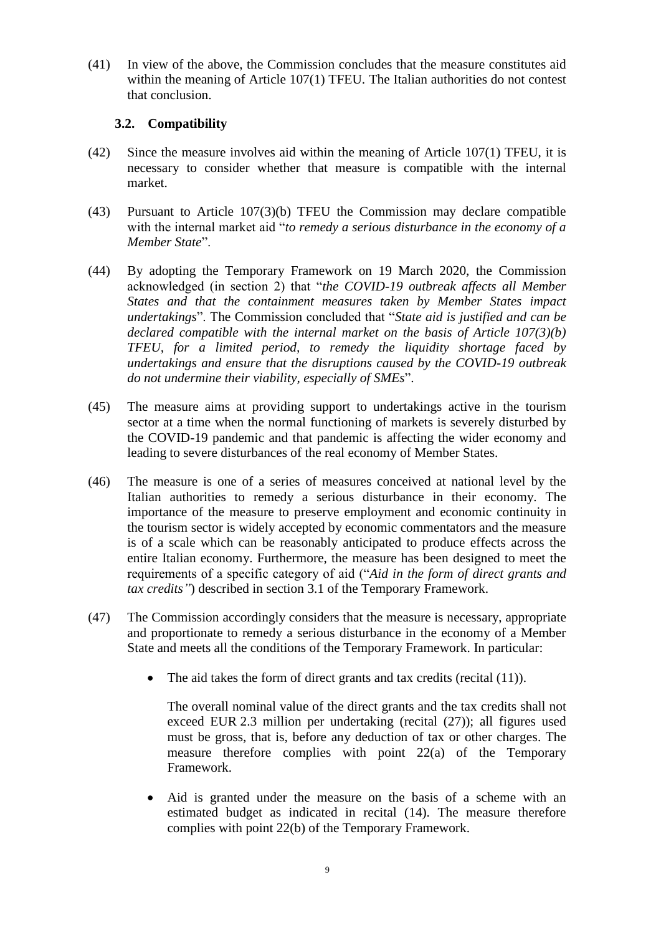(41) In view of the above, the Commission concludes that the measure constitutes aid within the meaning of Article 107(1) TFEU. The Italian authorities do not contest that conclusion.

## **3.2. Compatibility**

- (42) Since the measure involves aid within the meaning of Article 107(1) TFEU, it is necessary to consider whether that measure is compatible with the internal market.
- (43) Pursuant to Article 107(3)(b) TFEU the Commission may declare compatible with the internal market aid "*to remedy a serious disturbance in the economy of a Member State*".
- (44) By adopting the Temporary Framework on 19 March 2020, the Commission acknowledged (in section 2) that "*the COVID-19 outbreak affects all Member States and that the containment measures taken by Member States impact undertakings*". The Commission concluded that "*State aid is justified and can be declared compatible with the internal market on the basis of Article 107(3)(b) TFEU, for a limited period, to remedy the liquidity shortage faced by undertakings and ensure that the disruptions caused by the COVID-19 outbreak do not undermine their viability, especially of SMEs*".
- (45) The measure aims at providing support to undertakings active in the tourism sector at a time when the normal functioning of markets is severely disturbed by the COVID-19 pandemic and that pandemic is affecting the wider economy and leading to severe disturbances of the real economy of Member States.
- (46) The measure is one of a series of measures conceived at national level by the Italian authorities to remedy a serious disturbance in their economy. The importance of the measure to preserve employment and economic continuity in the tourism sector is widely accepted by economic commentators and the measure is of a scale which can be reasonably anticipated to produce effects across the entire Italian economy. Furthermore, the measure has been designed to meet the requirements of a specific category of aid ("*Aid in the form of direct grants and tax credits"*) described in section 3.1 of the Temporary Framework.
- (47) The Commission accordingly considers that the measure is necessary, appropriate and proportionate to remedy a serious disturbance in the economy of a Member State and meets all the conditions of the Temporary Framework. In particular:
	- The aid takes the form of direct grants and tax credits (recital  $(11)$ ).

The overall nominal value of the direct grants and the tax credits shall not exceed EUR 2.3 million per undertaking (recital [\(27\)\)](#page-5-1); all figures used must be gross, that is, before any deduction of tax or other charges. The measure therefore complies with point 22(a) of the Temporary Framework.

 Aid is granted under the measure on the basis of a scheme with an estimated budget as indicated in recital [\(14\).](#page-3-4) The measure therefore complies with point 22(b) of the Temporary Framework.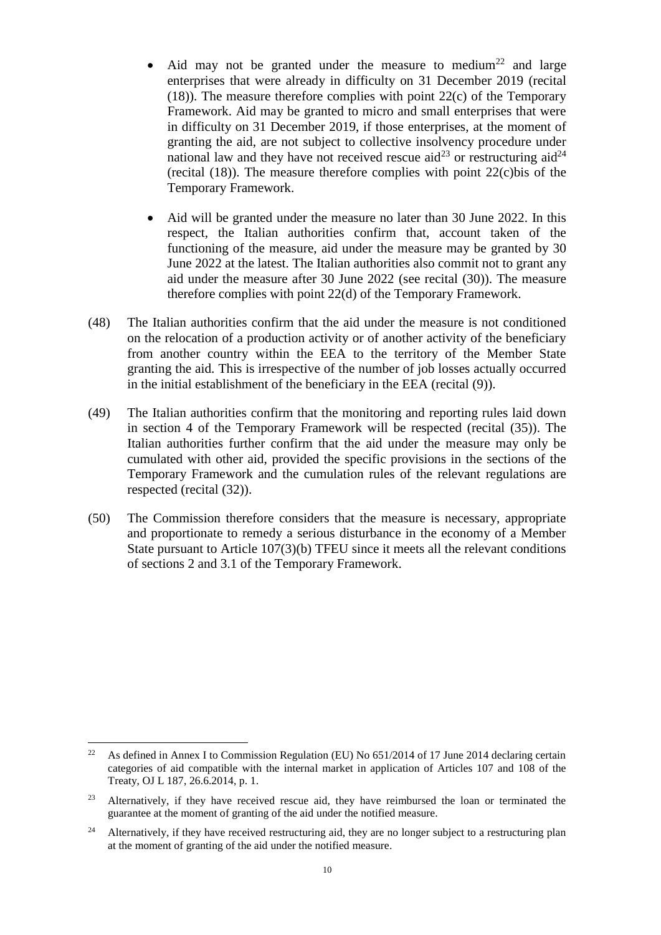- Aid may not be granted under the measure to medium<sup>22</sup> and large enterprises that were already in difficulty on 31 December 2019 (recital [\(18\)\)](#page-4-1). The measure therefore complies with point 22(c) of the Temporary Framework. Aid may be granted to micro and small enterprises that were in difficulty on 31 December 2019, if those enterprises, at the moment of granting the aid, are not subject to collective insolvency procedure under national law and they have not received rescue aid<sup>23</sup> or restructuring aid<sup>24</sup> (recital  $(18)$ ). The measure therefore complies with point 22 $(c)$ bis of the Temporary Framework.
- Aid will be granted under the measure no later than 30 June 2022. In this respect, the Italian authorities confirm that, account taken of the functioning of the measure, aid under the measure may be granted by 30 June 2022 at the latest. The Italian authorities also commit not to grant any aid under the measure after 30 June 2022 (see recital [\(30\)\)](#page-6-1). The measure therefore complies with point 22(d) of the Temporary Framework.
- (48) The Italian authorities confirm that the aid under the measure is not conditioned on the relocation of a production activity or of another activity of the beneficiary from another country within the EEA to the territory of the Member State granting the aid. This is irrespective of the number of job losses actually occurred in the initial establishment of the beneficiary in the EEA (recital [\(9\)\)](#page-2-2).
- (49) The Italian authorities confirm that the monitoring and reporting rules laid down in section 4 of the Temporary Framework will be respected (recital [\(35\)\)](#page-7-0). The Italian authorities further confirm that the aid under the measure may only be cumulated with other aid, provided the specific provisions in the sections of the Temporary Framework and the cumulation rules of the relevant regulations are respected (recital [\(32\)\)](#page-6-2).
- (50) The Commission therefore considers that the measure is necessary, appropriate and proportionate to remedy a serious disturbance in the economy of a Member State pursuant to Article 107(3)(b) TFEU since it meets all the relevant conditions of sections 2 and 3.1 of the Temporary Framework.

<sup>22</sup> <sup>22</sup> As defined in Annex I to Commission Regulation (EU) No 651/2014 of 17 June 2014 declaring certain categories of aid compatible with the internal market in application of Articles 107 and 108 of the Treaty, OJ L 187, 26.6.2014, p. 1.

<sup>&</sup>lt;sup>23</sup> Alternatively, if they have received rescue aid, they have reimbursed the loan or terminated the guarantee at the moment of granting of the aid under the notified measure.

<sup>&</sup>lt;sup>24</sup> Alternatively, if they have received restructuring aid, they are no longer subject to a restructuring plan at the moment of granting of the aid under the notified measure.